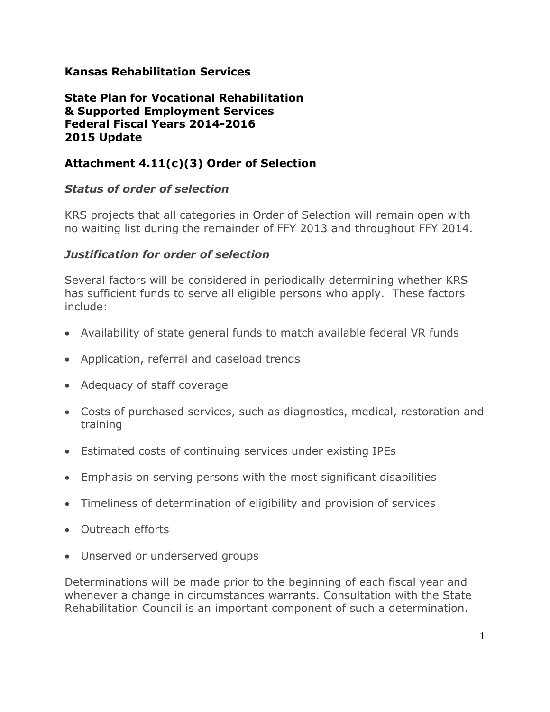### **Kansas Rehabilitation Services**

#### **State Plan for Vocational Rehabilitation & Supported Employment Services Federal Fiscal Years 2014-2016 2015 Update**

# **Attachment 4.11(c)(3) Order of Selection**

### *Status of order of selection*

KRS projects that all categories in Order of Selection will remain open with no waiting list during the remainder of FFY 2013 and throughout FFY 2014.

### *Justification for order of selection*

Several factors will be considered in periodically determining whether KRS has sufficient funds to serve all eligible persons who apply. These factors include:

- Availability of state general funds to match available federal VR funds
- Application, referral and caseload trends
- Adequacy of staff coverage
- Costs of purchased services, such as diagnostics, medical, restoration and training
- Estimated costs of continuing services under existing IPEs
- Emphasis on serving persons with the most significant disabilities
- Timeliness of determination of eligibility and provision of services
- Outreach efforts
- Unserved or underserved groups

Determinations will be made prior to the beginning of each fiscal year and whenever a change in circumstances warrants. Consultation with the State Rehabilitation Council is an important component of such a determination.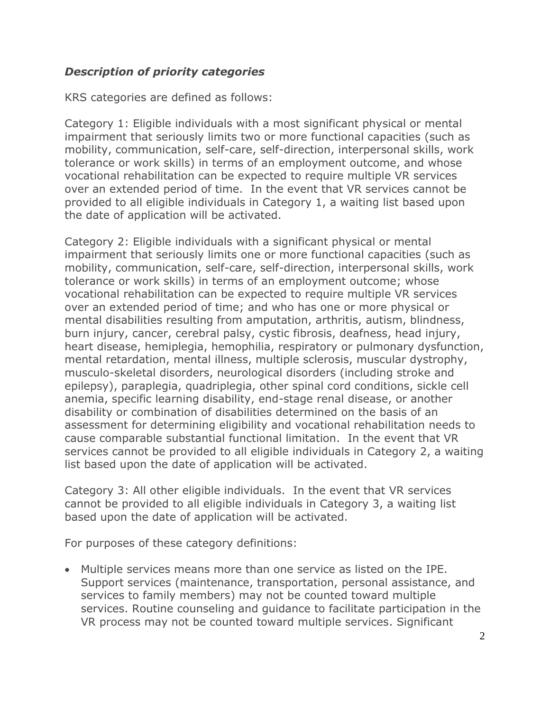## *Description of priority categories*

KRS categories are defined as follows:

Category 1: Eligible individuals with a most significant physical or mental impairment that seriously limits two or more functional capacities (such as mobility, communication, self-care, self-direction, interpersonal skills, work tolerance or work skills) in terms of an employment outcome, and whose vocational rehabilitation can be expected to require multiple VR services over an extended period of time. In the event that VR services cannot be provided to all eligible individuals in Category 1, a waiting list based upon the date of application will be activated.

Category 2: Eligible individuals with a significant physical or mental impairment that seriously limits one or more functional capacities (such as mobility, communication, self-care, self-direction, interpersonal skills, work tolerance or work skills) in terms of an employment outcome; whose vocational rehabilitation can be expected to require multiple VR services over an extended period of time; and who has one or more physical or mental disabilities resulting from amputation, arthritis, autism, blindness, burn injury, cancer, cerebral palsy, cystic fibrosis, deafness, head injury, heart disease, hemiplegia, hemophilia, respiratory or pulmonary dysfunction, mental retardation, mental illness, multiple sclerosis, muscular dystrophy, musculo-skeletal disorders, neurological disorders (including stroke and epilepsy), paraplegia, quadriplegia, other spinal cord conditions, sickle cell anemia, specific learning disability, end-stage renal disease, or another disability or combination of disabilities determined on the basis of an assessment for determining eligibility and vocational rehabilitation needs to cause comparable substantial functional limitation. In the event that VR services cannot be provided to all eligible individuals in Category 2, a waiting list based upon the date of application will be activated.

Category 3: All other eligible individuals. In the event that VR services cannot be provided to all eligible individuals in Category 3, a waiting list based upon the date of application will be activated.

For purposes of these category definitions:

 Multiple services means more than one service as listed on the IPE. Support services (maintenance, transportation, personal assistance, and services to family members) may not be counted toward multiple services. Routine counseling and guidance to facilitate participation in the VR process may not be counted toward multiple services. Significant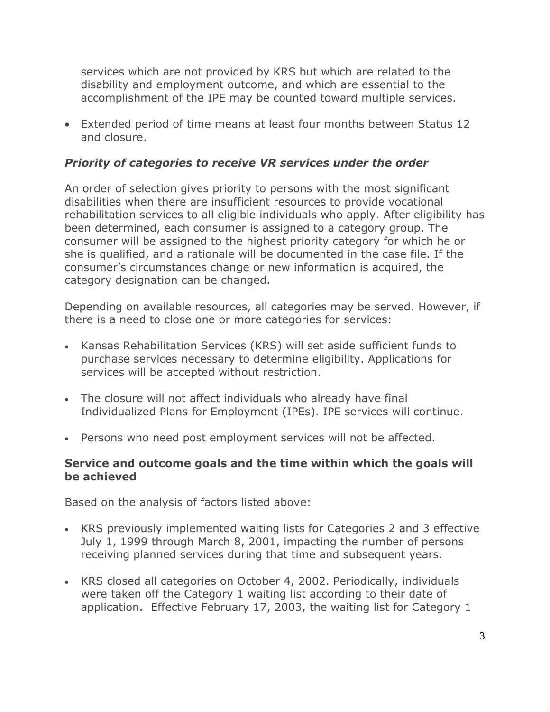services which are not provided by KRS but which are related to the disability and employment outcome, and which are essential to the accomplishment of the IPE may be counted toward multiple services.

 Extended period of time means at least four months between Status 12 and closure.

## *Priority of categories to receive VR services under the order*

An order of selection gives priority to persons with the most significant disabilities when there are insufficient resources to provide vocational rehabilitation services to all eligible individuals who apply. After eligibility has been determined, each consumer is assigned to a category group. The consumer will be assigned to the highest priority category for which he or she is qualified, and a rationale will be documented in the case file. If the consumer's circumstances change or new information is acquired, the category designation can be changed.

Depending on available resources, all categories may be served. However, if there is a need to close one or more categories for services:

- Kansas Rehabilitation Services (KRS) will set aside sufficient funds to purchase services necessary to determine eligibility. Applications for services will be accepted without restriction.
- The closure will not affect individuals who already have final Individualized Plans for Employment (IPEs). IPE services will continue.
- Persons who need post employment services will not be affected.

#### **Service and outcome goals and the time within which the goals will be achieved**

Based on the analysis of factors listed above:

- KRS previously implemented waiting lists for Categories 2 and 3 effective July 1, 1999 through March 8, 2001, impacting the number of persons receiving planned services during that time and subsequent years.
- KRS closed all categories on October 4, 2002. Periodically, individuals were taken off the Category 1 waiting list according to their date of application. Effective February 17, 2003, the waiting list for Category 1